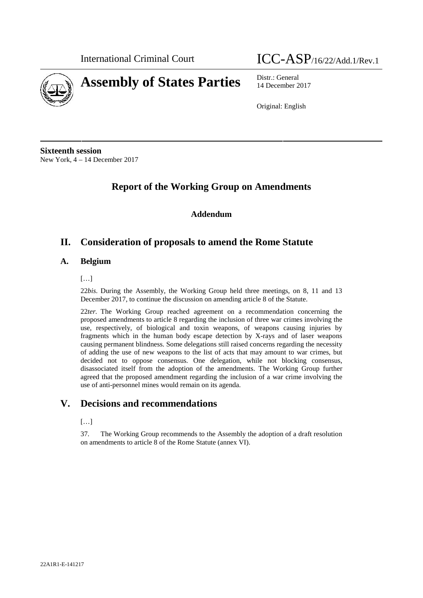

International Criminal Court ICC-ASP/16/22/Add.1/Rev.1

14 December 2017

Original: English

**Sixteenth session** New York, 4 – 14 December 2017

# **Report of the Working Group on Amendments**

**Addendum**

# **II. Consideration of proposals to amend the Rome Statute**

# **A. Belgium**

# […]

22*bis*. During the Assembly, the Working Group held three meetings, on 8, 11 and 13 December 2017, to continue the discussion on amending article 8 of the Statute.

22ter. The Working Group reached agreement on a recommendation concerning the proposed amendments to article 8 regarding the inclusion of three war crimes involving the use, respectively, of biological and toxin weapons, of weapons causing injuries by fragments which in the human body escape detection by X-rays and of laser weapons causing permanent blindness. Some delegations still raised concerns regarding the necessity of adding the use of new weapons to the list of acts that may amount to war crimes, but decided not to oppose consensus. One delegation, while not blocking consensus, disassociated itself from the adoption of the amendments. The Working Group further agreed that the proposed amendment regarding the inclusion of a war crime involving the use of anti-personnel mines would remain on its agenda.

# **V. Decisions and recommendations**

## $[...]$

37. The Working Group recommends to the Assembly the adoption of a draft resolution on amendments to article 8 of the Rome Statute (annex VI).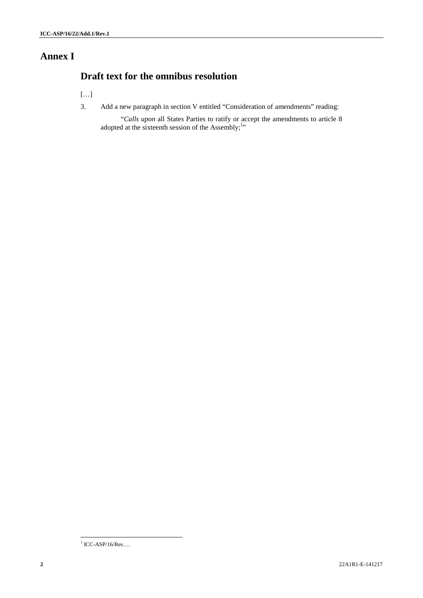# **Annex I**

# **Draft text for the omnibus resolution**

[…]

3. Add a new paragraph in section V entitled "Consideration of amendments" reading:

"*Calls upon* all States Parties to ratify or accept the amendments to article 8 adopted at the sixteenth session of the Assembly;<sup>1</sup>"

 $1$  ICC-ASP/16/Res....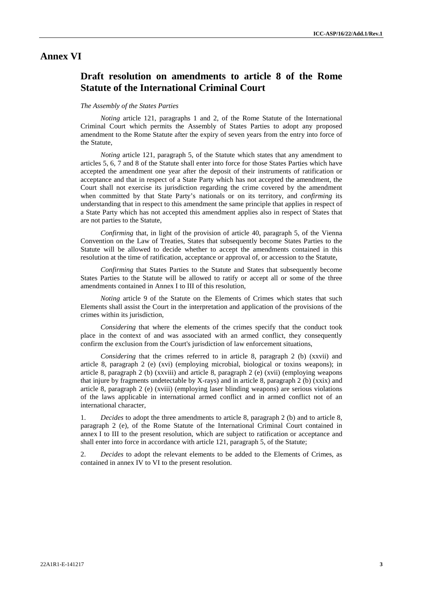# **Annex VI**

# **Draft resolution on amendments to article 8 of the Rome Statute of the International Criminal Court**

#### *The Assembly of the States Parties*

*Noting* article 121, paragraphs 1 and 2, of the Rome Statute of the International Criminal Court which permits the Assembly of States Parties to adopt any proposed amendment to the Rome Statute after the expiry of seven years from the entry into force of the Statute,

*Noting* article 121, paragraph 5, of the Statute which states that any amendment to articles 5, 6, 7 and 8 of the Statute shall enter into force for those States Parties which have accepted the amendment one year after the deposit of their instruments of ratification or acceptance and that in respect of a State Party which has not accepted the amendment, the Court shall not exercise its jurisdiction regarding the crime covered by the amendment when committed by that State Party's nationals or on its territory, and *confirming* its understanding that in respect to this amendment the same principle that applies in respect of a State Party which has not accepted this amendment applies also in respect of States that are not parties to the Statute,

*Confirming* that, in light of the provision of article 40, paragraph 5, of the Vienna Convention on the Law of Treaties, States that subsequently become States Parties to the Statute will be allowed to decide whether to accept the amendments contained in this resolution at the time of ratification, acceptance or approval of, or accession to the Statute,

*Confirming* that States Parties to the Statute and States that subsequently become States Parties to the Statute will be allowed to ratify or accept all or some of the three amendments contained in Annex I to III of this resolution,

*Noting* article 9 of the Statute on the Elements of Crimes which states that such Elements shall assist the Court in the interpretation and application of the provisions of the crimes within its jurisdiction,

*Considering* that where the elements of the crimes specify that the conduct took place in the context of and was associated with an armed conflict, they consequently confirm the exclusion from the Court's jurisdiction of law enforcement situations,

*Considering* that the crimes referred to in article 8, paragraph 2 (b) (xxvii) and article 8, paragraph 2 (e) (xvi) (employing microbial, biological or toxins weapons); in article 8, paragraph 2 (b) (xxviii) and article 8, paragraph 2 (e) (xvii) (employing weapons that injure by fragments undetectable by X-rays) and in article 8, paragraph 2 (b) ( $xxix$ ) and article 8, paragraph 2 (e) (xviii) (employing laser blinding weapons) are serious violations of the laws applicable in international armed conflict and in armed conflict not of an international character,

1. *Decides* to adopt the three amendments to article 8, paragraph 2 (b) and to article 8, paragraph 2 (e), of the Rome Statute of the International Criminal Court contained in annex I to III to the present resolution, which are subject to ratification or acceptance and shall enter into force in accordance with article 121, paragraph 5, of the Statute;

2. *Decides* to adopt the relevant elements to be added to the Elements of Crimes, as contained in annex IV to VI to the present resolution.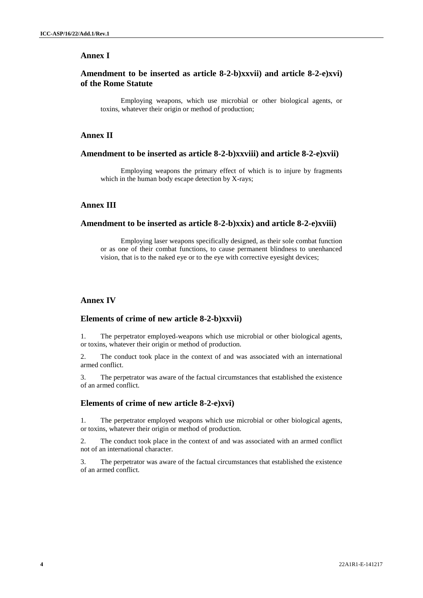## **Annex I**

# **Amendment to be inserted as article 8-2-b)xxvii) and article 8-2-e)xvi) of the Rome Statute**

Employing weapons, which use microbial or other biological agents, or toxins, whatever their origin or method of production;

#### **Annex II**

#### **Amendment to be inserted as article 8-2-b)xxviii) and article 8-2-e)xvii)**

Employing weapons the primary effect of which is to injure by fragments which in the human body escape detection by X-rays;

## **Annex III**

## **Amendment to be inserted as article 8-2-b)xxix) and article 8-2-e)xviii)**

Employing laser weapons specifically designed, as their sole combat function or as one of their combat functions, to cause permanent blindness to unenhanced vision, that is to the naked eye or to the eye with corrective eyesight devices;

# **Annex IV**

#### **Elements of crime of new article 8-2-b)xxvii)**

1. The perpetrator employed weapons which use microbial or other biological agents, or toxins, whatever their origin or method of production.

2. The conduct took place in the context of and was associated with an international armed conflict.

3. The perpetrator was aware of the factual circumstances that established the existence of an armed conflict.

## **Elements of crime of new article 8-2-e)xvi)**

1. The perpetrator employed weapons which use microbial or other biological agents, or toxins, whatever their origin or method of production.

2. The conduct took place in the context of and was associated with an armed conflict not of an international character.

3. The perpetrator was aware of the factual circumstances that established the existence of an armed conflict.